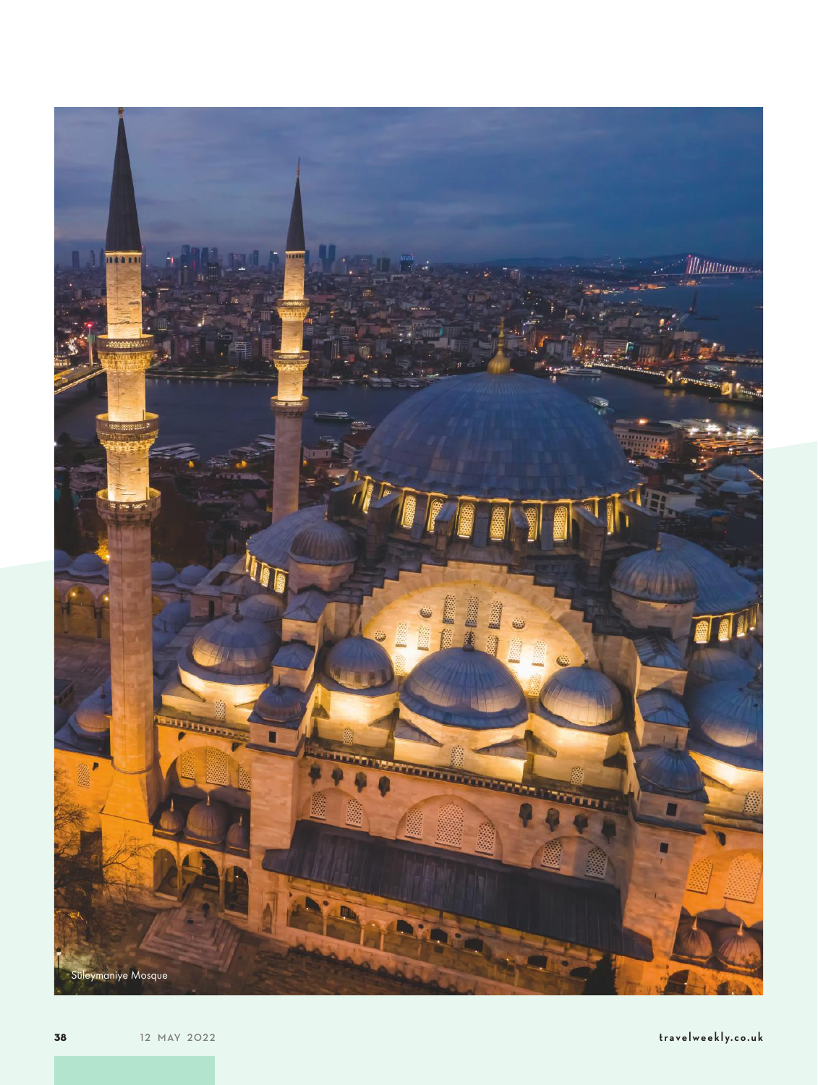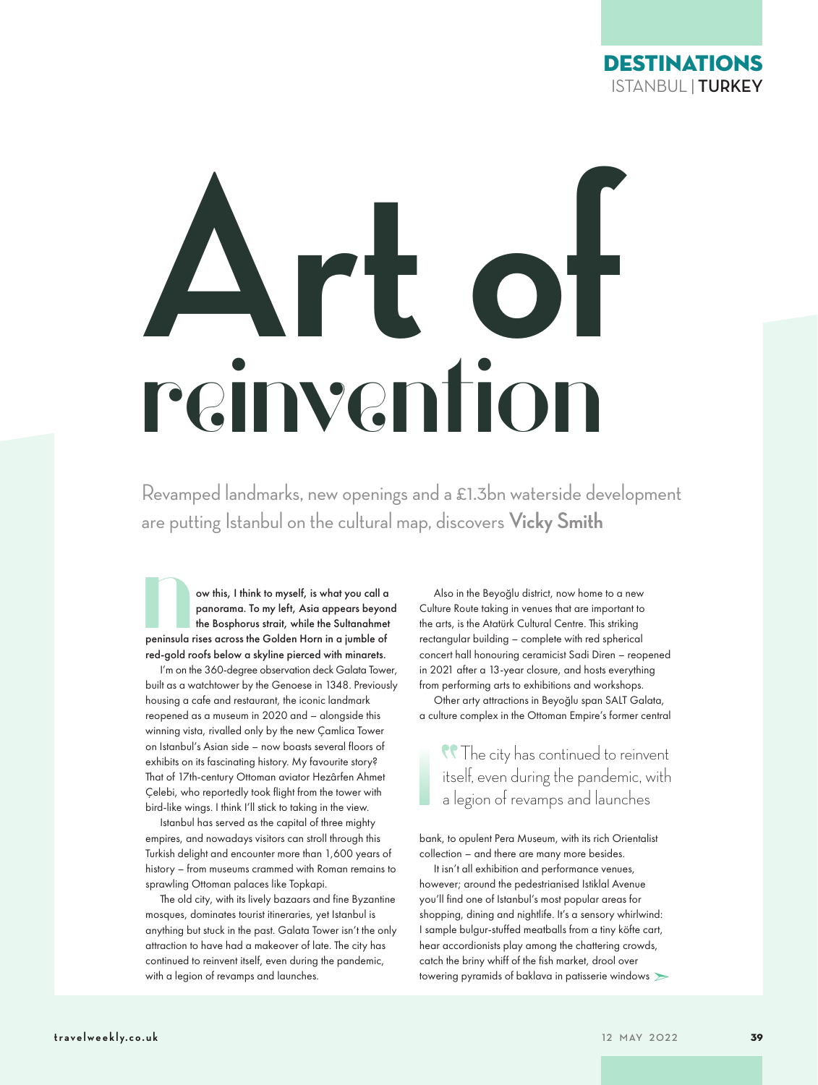

# **Art of reinvention**

Revamped landmarks, new openings and a £1.3bn waterside development

are putting Istanbul on the cultural map, discovers **Vicky Smith**<br>
ow this, I think to myself, is what you call a<br>
panorama. To my left, Asia appears beyond Culture Route taking in venues that are im<br>
the Bosphorus strait, ow this, I think to myself, is what you call a panorama. To my left, Asia appears beyond the Bosphorus strait, while the Sultanahmet peninsula rises across the Golden Horn in a jumble of red-gold roofs below a skyline pierced with minarets.

I'm on the 360-degree observation deck Galata Tower, built as a watchtower by the Genoese in 1348. Previously housing a cafe and restaurant, the iconic landmark reopened as a museum in 2020 and – alongside this winning vista, rivalled only by the new Çamlica Tower on Istanbul's Asian side – now boasts several floors of exhibits on its fascinating history. My favourite story? That of 17th-century Ottoman aviator Hezârfen Ahmet Çelebi, who reportedly took flight from the tower with bird-like wings. I think I'll stick to taking in the view.

Istanbul has served as the capital of three mighty empires, and nowadays visitors can stroll through this Turkish delight and encounter more than 1,600 years of history – from museums crammed with Roman remains to sprawling Ottoman palaces like Topkapi.

The old city, with its lively bazaars and fine Byzantine mosques, dominates tourist itineraries, yet Istanbul is anything but stuck in the past. Galata Tower isn't the only attraction to have had a makeover of late. The city has continued to reinvent itself, even during the pandemic, with a legion of revamps and launches.

Also in the Beyoğlu district, now home to a new Culture Route taking in venues that are important to the arts, is the Atatürk Cultural Centre. This striking rectangular building – complete with red spherical concert hall honouring ceramicist Sadi Diren – reopened in 2021 after a 13-year closure, and hosts everything from performing arts to exhibitions and workshops.

Other arty attractions in Beyoğlu span SALT Galata, a culture complex in the Ottoman Empire's former central

The city has continued to reinvent itself, even during the pandemic, with a legion of revamps and launches

bank, to opulent Pera Museum, with its rich Orientalist collection – and there are many more besides.

➣ towering pyramids of baklava in patisserie windows It isn't all exhibition and performance venues, however; around the pedestrianised Istiklal Avenue you'll find one of Istanbul's most popular areas for shopping, dining and nightlife. It's a sensory whirlwind: I sample bulgur-stuffed meatballs from a tiny köfte cart, hear accordionists play among the chattering crowds, catch the briny whiff of the fish market, drool over